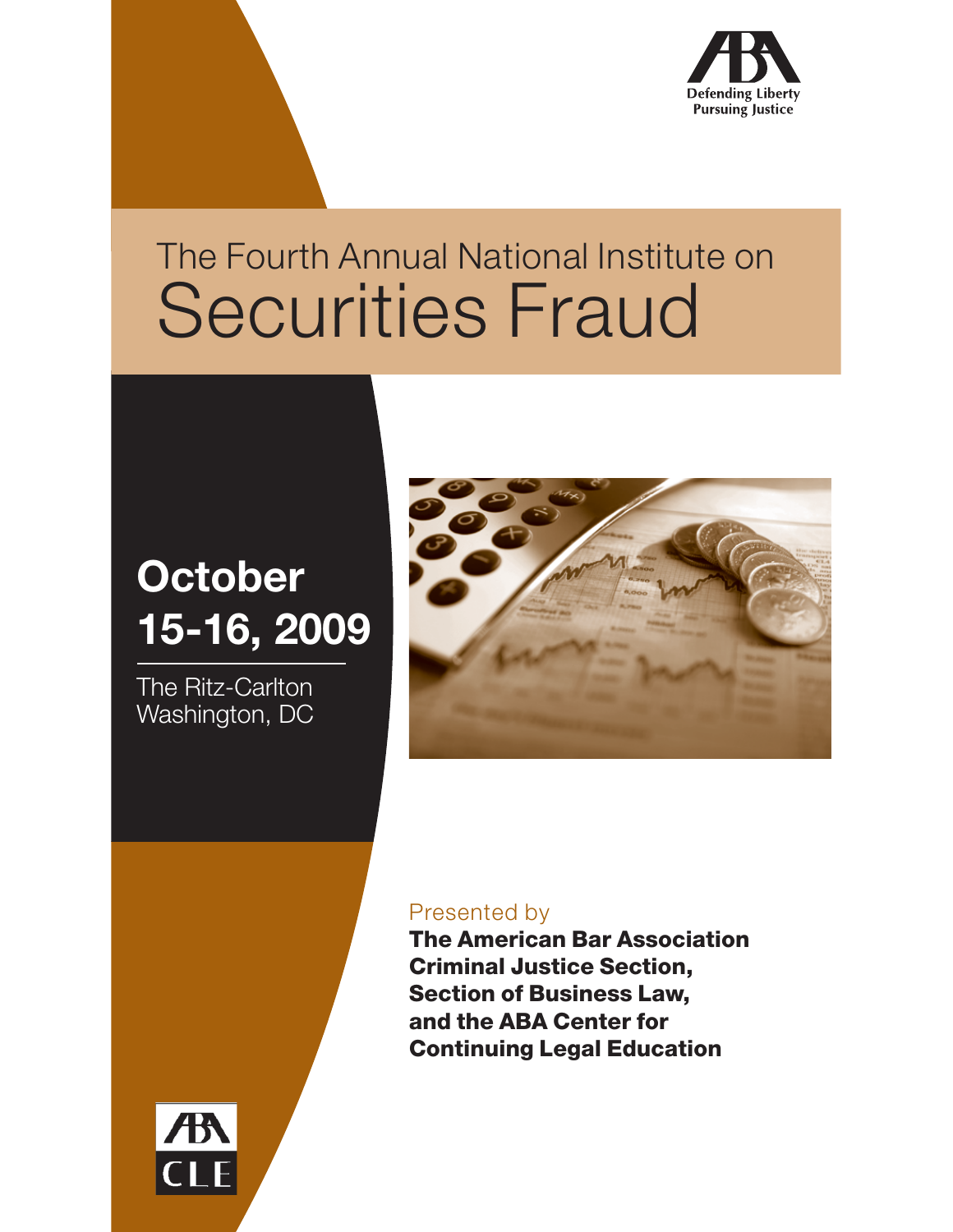

## The Fourth Annual National Institute on Securities Fraud

## **October 15-16, 2009**

The Ritz-Carlton Washington, DC



#### Presented by

**The American Bar Association Criminal Justice Section, Section of Business Law, and the ABA Center for Continuing Legal Education**

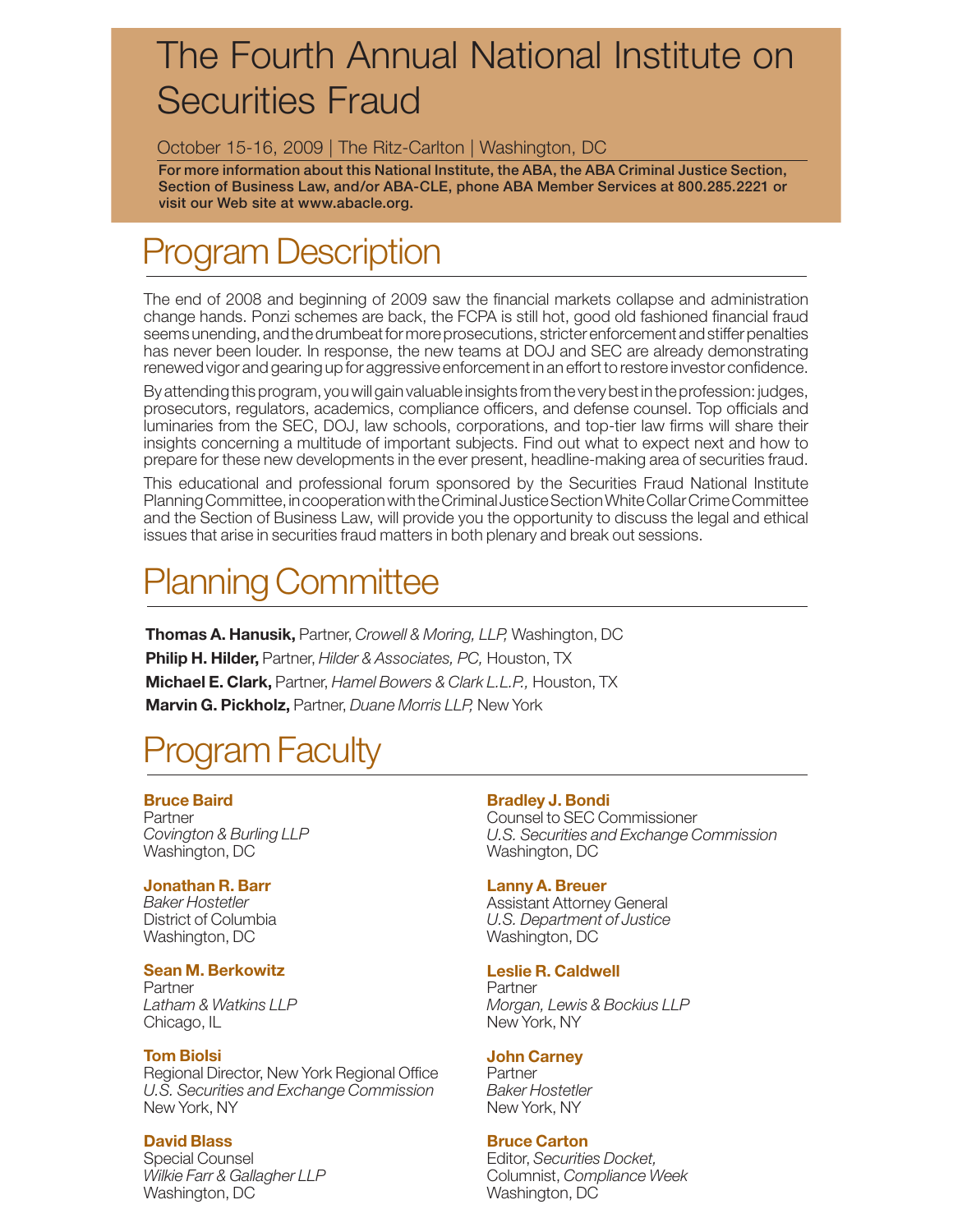## The Fourth Annual National Institute on Securities Fraud

#### October 15-16, 2009 | The Ritz-Carlton | Washington, DC

**For more information about this National Institute, the ABA, the ABA Criminal Justice Section, Section of Business Law, and/or ABA-CLE, phone ABA Member Services at 800.285.2221 or visit our Web site at www.abacle.org.**

## Program Description

The end of 2008 and beginning of 2009 saw the financial markets collapse and administration change hands. Ponzi schemes are back, the FCPA is still hot, good old fashioned financial fraud seems unending, and the drumbeat for more prosecutions, stricter enforcement and stiffer penalties has never been louder. In response, the new teams at DOJ and SEC are already demonstrating renewed vigor and gearing up for aggressive enforcement in an effort to restore investor confidence.

By attending this program, you will gain valuable insights from the very best in the profession: judges, prosecutors, regulators, academics, compliance officers, and defense counsel. Top officials and luminaries from the SEC, DOJ, law schools, corporations, and top-tier law firms will share their insights concerning a multitude of important subjects. Find out what to expect next and how to prepare for these new developments in the ever present, headline-making area of securities fraud.

This educational and professional forum sponsored by the Securities Fraud National Institute Planning Committee, in cooperation with the Criminal Justice Section White Collar Crime Committee and the Section of Business Law, will provide you the opportunity to discuss the legal and ethical issues that arise in securities fraud matters in both plenary and break out sessions.

## Planning Committee

**Thomas A. Hanusik,** Partner, *Crowell & Moring, LLP,* Washington, DC **Philip H. Hilder,** Partner, *Hilder & Associates, PC,* Houston, TX **Michael E. Clark,** Partner, *Hamel Bowers & Clark L.L.P.,* Houston, TX **Marvin G. Pickholz,** Partner, *Duane Morris LLP,* New York

### Program Faculty

#### **Bruce Baird**

Partner *Covington & Burling LLP* Washington, DC

#### **Jonathan R. Barr**

*Baker Hostetler* District of Columbia Washington, DC

#### **Sean M. Berkowitz**

Partner *Latham & Watkins LLP* Chicago, IL

#### **Tom Biolsi**

Regional Director, New York Regional Office *U.S. Securities and Exchange Commission* New York, NY

#### **David Blass**

Special Counsel *Wilkie Farr & Gallagher LLP* Washington, DC

#### **Bradley J. Bondi**

Counsel to SEC Commissioner *U.S. Securities and Exchange Commission* Washington, DC

#### **Lanny A. Breuer**

Assistant Attorney General *U.S. Department of Justice* Washington, DC

#### **Leslie R. Caldwell**

**Partner** *Morgan, Lewis & Bockius LLP* New York, NY

#### **John Carney**

Partner *Baker Hostetler* New York, NY

#### **Bruce Carton**

Editor, *Securities Docket,*  Columnist, *Compliance Week* Washington, DC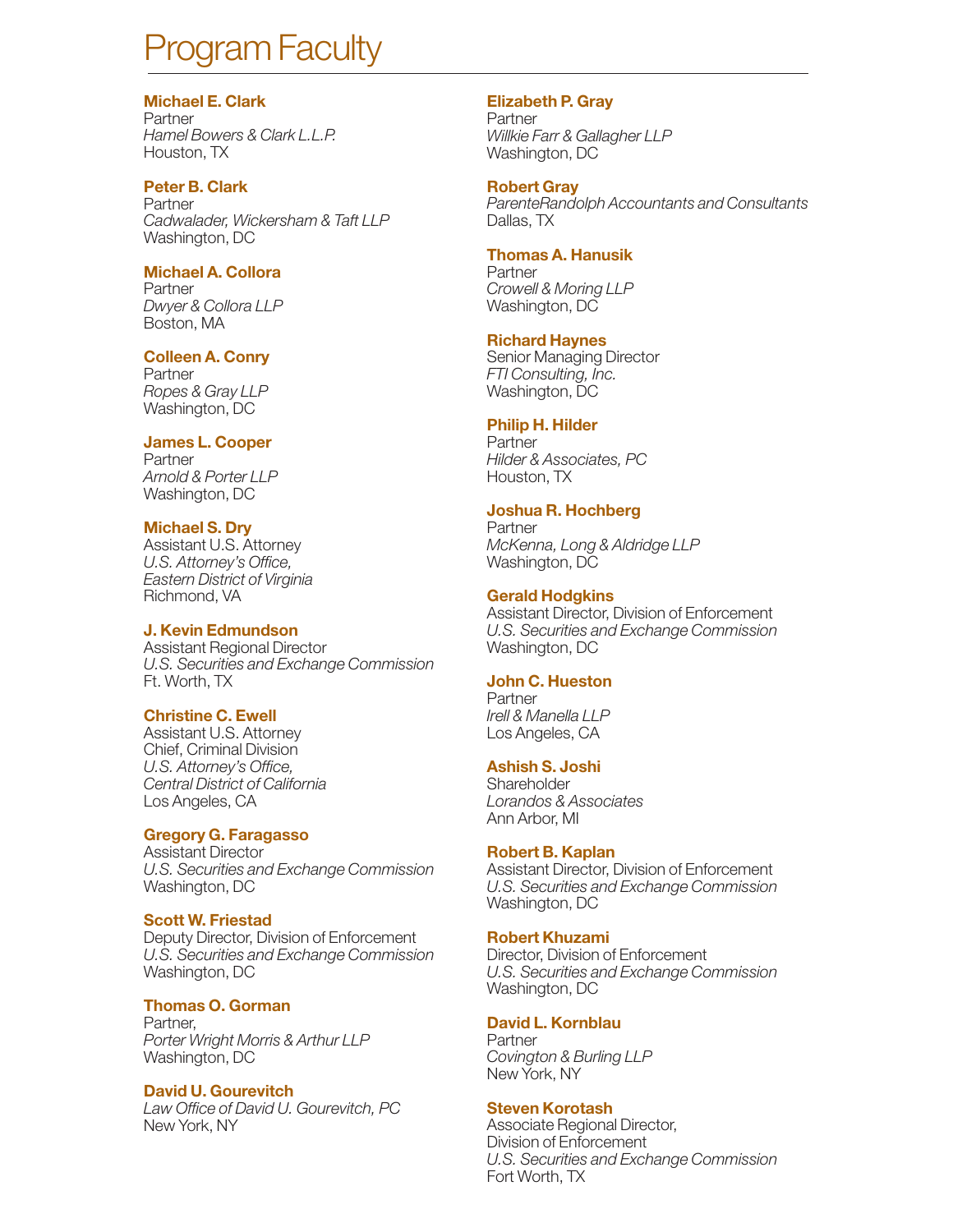## Program Faculty

#### **Michael E. Clark**

Partner *Hamel Bowers & Clark L.L.P.* Houston, TX

#### **Peter B. Clark**

Partner *Cadwalader, Wickersham & Taft LLP* Washington, DC

#### **Michael A. Collora**

Partner *Dwyer & Collora LLP* Boston, MA

#### **Colleen A. Conry**

Partner *Ropes & Gray LLP* Washington, DC

#### **James L. Cooper**

Partner *Arnold & Porter LLP* Washington, DC

#### **Michael S. Dry**

Assistant U.S. Attorney *U.S. Attorney's Office, Eastern District of Virginia* Richmond, VA

#### **J. Kevin Edmundson**

Assistant Regional Director *U.S. Securities and Exchange Commission* Ft. Worth, TX

#### **Christine C. Ewell**

Assistant U.S. Attorney Chief, Criminal Division *U.S. Attorney's Office, Central District of California* Los Angeles, CA

#### **Gregory G. Faragasso**

Assistant Director *U.S. Securities and Exchange Commission* Washington, DC

#### **Scott W. Friestad**

Deputy Director, Division of Enforcement *U.S. Securities and Exchange Commission* Washington, DC

#### **Thomas O. Gorman**

Partner, *Porter Wright Morris & Arthur LLP* Washington, DC

#### **David U. Gourevitch**

*Law Office of David U. Gourevitch, PC* New York, NY

#### **Elizabeth P. Gray**

Partner *Willkie Farr & Gallagher LLP* Washington, DC

#### **Robert Gray**

*ParenteRandolph Accountants and Consultants* Dallas, TX

#### **Thomas A. Hanusik**

Partner *Crowell & Moring LLP* Washington, DC

#### **Richard Haynes**

Senior Managing Director *FTI Consulting, Inc.* Washington, DC

#### **Philip H. Hilder**

Partner *Hilder & Associates, PC* Houston, TX

#### **Joshua R. Hochberg**

Partner *McKenna, Long & Aldridge LLP* Washington, DC

#### **Gerald Hodgkins**

Assistant Director, Division of Enforcement *U.S. Securities and Exchange Commission* Washington, DC

#### **John C. Hueston**

Partner *Irell & Manella LLP* Los Angeles, CA

#### **Ashish S. Joshi**

**Shareholder** *Lorandos & Associates* Ann Arbor, MI

#### **Robert B. Kaplan**

Assistant Director, Division of Enforcement *U.S. Securities and Exchange Commission* Washington, DC

#### **Robert Khuzami**

Director, Division of Enforcement *U.S. Securities and Exchange Commission* Washington, DC

#### **David L. Kornblau**

Partner *Covington & Burling LLP* New York, NY

#### **Steven Korotash**

Associate Regional Director, Division of Enforcement *U.S. Securities and Exchange Commission* Fort Worth, TX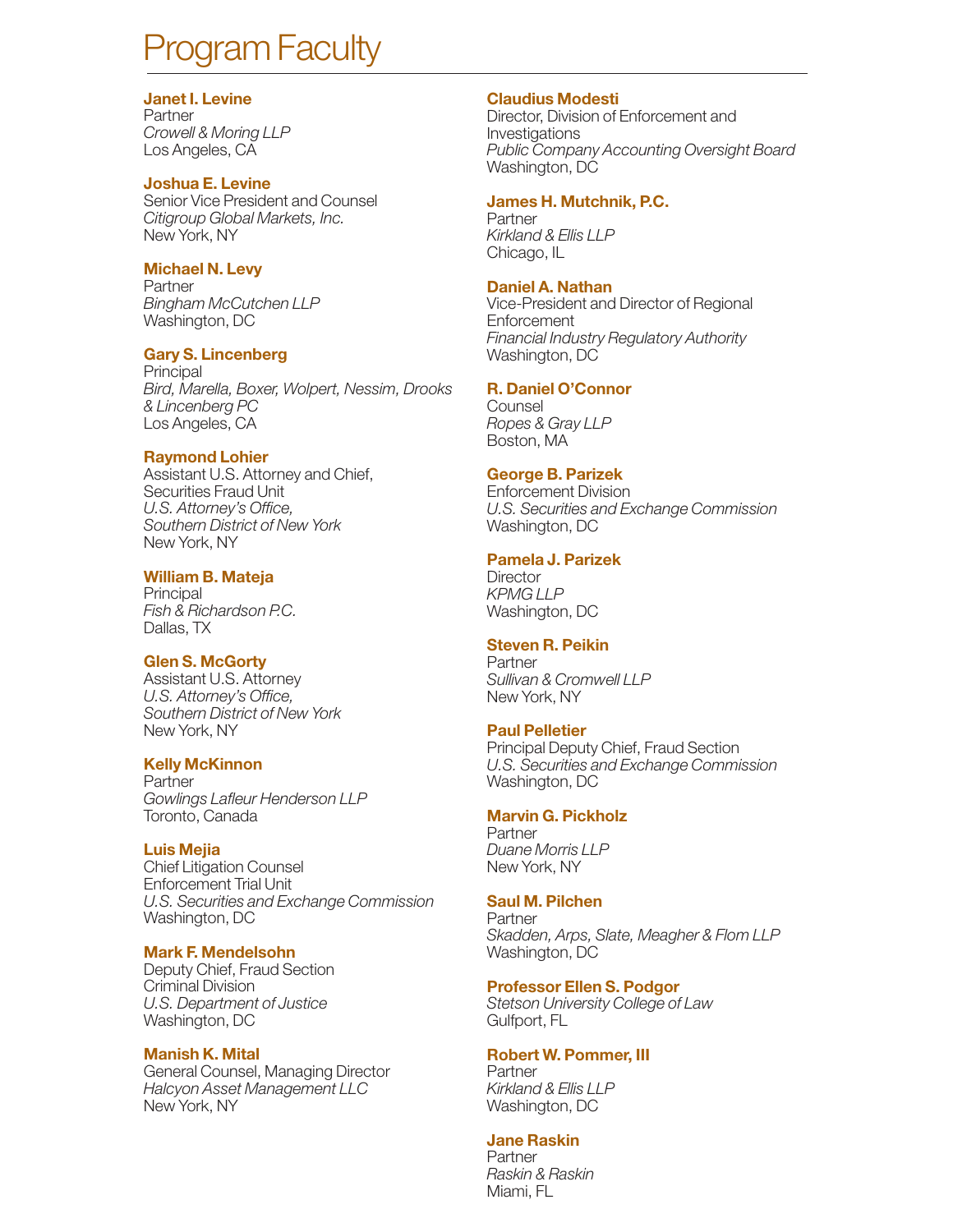## ogram Faculty

#### **Janet I. Levine**

Partner *Crowell & Moring LLP* Los Angeles, CA

#### **Joshua E. Levine**

Senior Vice President and Counsel *Citigroup Global Markets, Inc.* New York, NY

#### **Michael N. Levy**

Partner *Bingham McCutchen LLP* Washington, DC

#### **Gary S. Lincenberg**

**Principal** *Bird, Marella, Boxer, Wolpert, Nessim, Drooks & Lincenberg PC* Los Angeles, CA

#### **Raymond Lohier**

Assistant U.S. Attorney and Chief, Securities Fraud Unit *U.S. Attorney's Office, Southern District of New York* New York, NY

#### **William B. Mateja**

**Principal** *Fish & Richardson P.C.* Dallas, TX

#### **Glen S. McGorty**

Assistant U.S. Attorney *U.S. Attorney's Office, Southern District of New York* New York, NY

#### **Kelly McKinnon**

Partner *Gowlings Lafleur Henderson LLP* Toronto, Canada

#### **Luis Mejia**

Chief Litigation Counsel Enforcement Trial Unit *U.S. Securities and Exchange Commission* Washington, DC

#### **Mark F. Mendelsohn**

Deputy Chief, Fraud Section Criminal Division *U.S. Department of Justice* Washington, DC

#### **Manish K. Mital**

General Counsel, Managing Director *Halcyon Asset Management LLC* New York, NY

#### **Claudius Modesti**

Director, Division of Enforcement and Investigations *Public Company Accounting Oversight Board* Washington, DC

#### **James H. Mutchnik, P.C.**

Partner *Kirkland & Ellis LLP* Chicago, IL

#### **Daniel A. Nathan**

Vice-President and Director of Regional **Enforcement** *Financial Industry Regulatory Authority* Washington, DC

#### **R. Daniel O'Connor**

**Counsel** *Ropes & Gray LLP* Boston, MA

#### **George B. Parizek**

Enforcement Division *U.S. Securities and Exchange Commission* Washington, DC

#### **Pamela J. Parizek**

**Director** *KPMG LLP* Washington, DC

#### **Steven R. Peikin**

**Partner** *Sullivan & Cromwell LLP* New York, NY

#### **Paul Pelletier**

Principal Deputy Chief, Fraud Section *U.S. Securities and Exchange Commission* Washington, DC

#### **Marvin G. Pickholz**

Partner *Duane Morris LLP* New York, NY

#### **Saul M. Pilchen**

**Partner** *Skadden, Arps, Slate, Meagher & Flom LLP* Washington, DC

#### **Professor Ellen S. Podgor**

*Stetson University College of Law* Gulfport, FL

#### **Robert W. Pommer, III**

Partner *Kirkland & Ellis LLP* Washington, DC

#### **Jane Raskin**

Partner *Raskin & Raskin* Miami, FL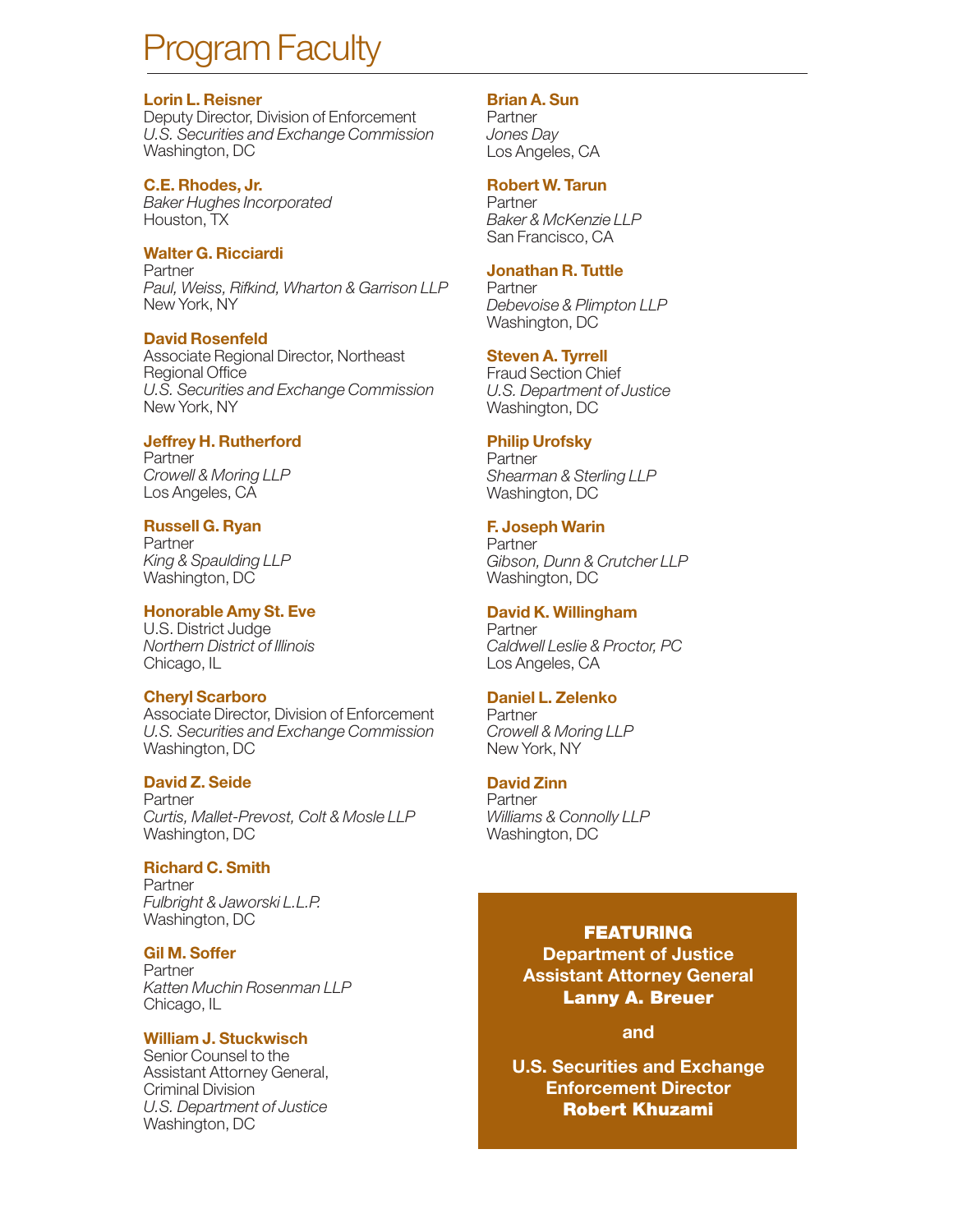## ogram Faculty

#### **Lorin L. Reisner**

Deputy Director, Division of Enforcement *U.S. Securities and Exchange Commission* Washington, DC

#### **C.E. Rhodes, Jr.**

*Baker Hughes Incorporated* Houston, TX

#### **Walter G. Ricciardi**

Partner *Paul, Weiss, Rifkind, Wharton & Garrison LLP*  New York, NY

#### **David Rosenfeld**

Associate Regional Director, Northeast Regional Office *U.S. Securities and Exchange Commission* New York, NY

#### **Jeffrey H. Rutherford**

Partner *Crowell & Moring LLP* Los Angeles, CA

#### **Russell G. Ryan**

Partner *King & Spaulding LLP*  Washington, DC

#### **Honorable Amy St. Eve**

U.S. District Judge *Northern District of Illinois* Chicago, IL

#### **Cheryl Scarboro**

Associate Director, Division of Enforcement *U.S. Securities and Exchange Commission* Washington, DC

#### **David Z. Seide**

Partner *Curtis, Mallet-Prevost, Colt & Mosle LLP* Washington, DC

#### **Richard C. Smith**

Partner *Fulbright & Jaworski L.L.P.* Washington, DC

#### **Gil M. Soffer**

Partner *Katten Muchin Rosenman LLP* Chicago, IL

#### **William J. Stuckwisch**

Senior Counsel to the Assistant Attorney General, Criminal Division *U.S. Department of Justice* Washington, DC

#### **Brian A. Sun**

Partner *Jones Day* Los Angeles, CA

#### **Robert W. Tarun**

Partner *Baker & McKenzie LLP* San Francisco, CA

#### **Jonathan R. Tuttle**

Partner *Debevoise & Plimpton LLP* Washington, DC

#### **Steven A. Tyrrell**

Fraud Section Chief *U.S. Department of Justice* Washington, DC

#### **Philip Urofsky**

**Partner** *Shearman & Sterling LLP* Washington, DC

#### **F. Joseph Warin**

Partner *Gibson, Dunn & Crutcher LLP* Washington, DC

#### **David K. Willingham**

Partner *Caldwell Leslie & Proctor, PC* Los Angeles, CA

#### **Daniel L. Zelenko**

Partner *Crowell & Moring LLP* New York, NY

#### **David Zinn**

**Partner** *Williams & Connolly LLP* Washington, DC

#### **FEATURING**

**Department of Justice Assistant Attorney General Lanny A. Breuer** 

#### **and**

**U.S. Securities and Exchange Enforcement Director Robert Khuzami**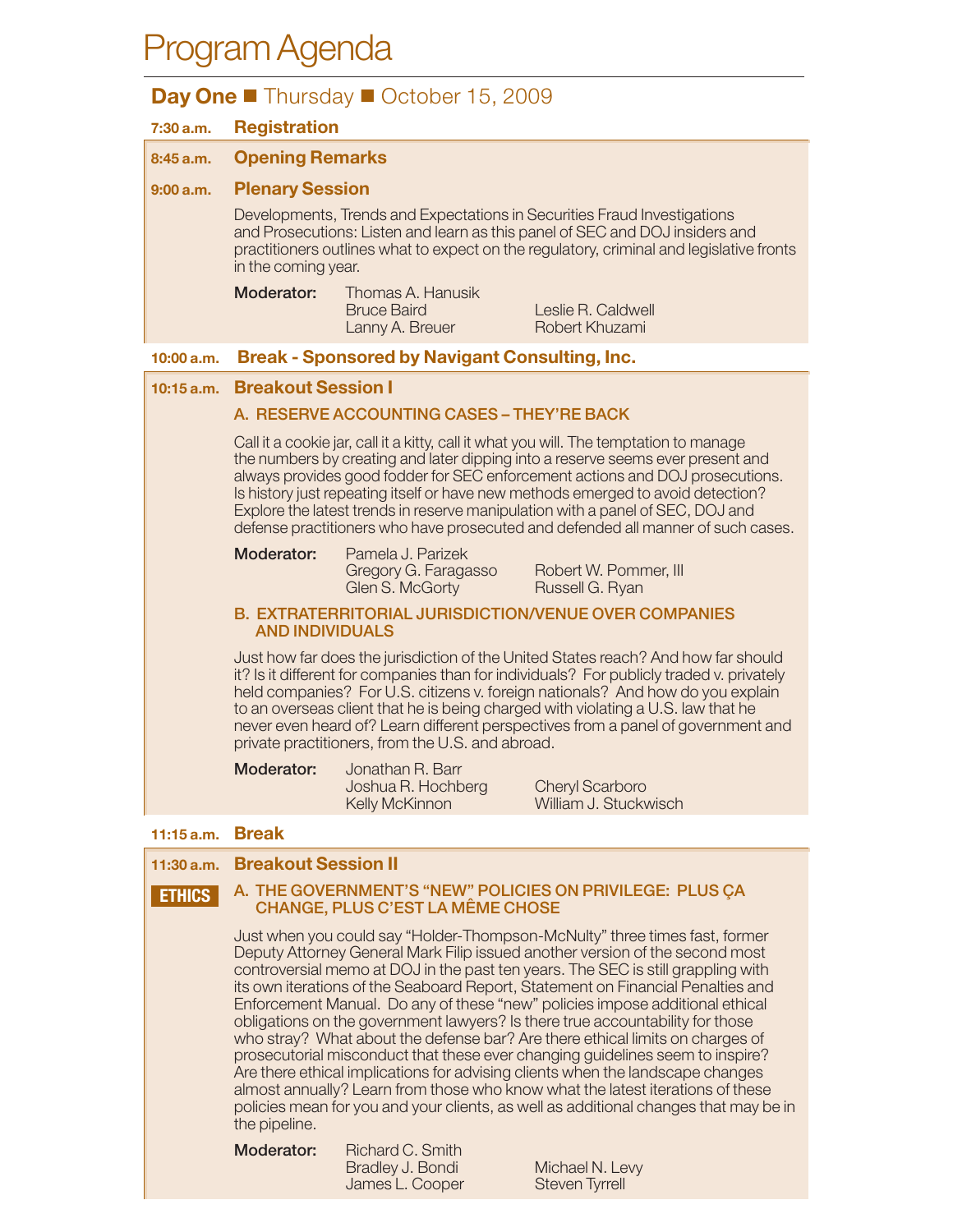## Program Agenda

### **Day One** ■ Thursday ■ October 15, 2009

| 7:30 a.m.     | <b>Registration</b>                                                                                                                                                                                                                                                                                                                                                                                                                                                                                                  |                                                                 |                                                                           |
|---------------|----------------------------------------------------------------------------------------------------------------------------------------------------------------------------------------------------------------------------------------------------------------------------------------------------------------------------------------------------------------------------------------------------------------------------------------------------------------------------------------------------------------------|-----------------------------------------------------------------|---------------------------------------------------------------------------|
| 8:45 a.m.     | <b>Opening Remarks</b>                                                                                                                                                                                                                                                                                                                                                                                                                                                                                               |                                                                 |                                                                           |
| 9:00 a.m.     | <b>Plenary Session</b>                                                                                                                                                                                                                                                                                                                                                                                                                                                                                               |                                                                 |                                                                           |
|               | Developments, Trends and Expectations in Securities Fraud Investigations<br>and Prosecutions: Listen and learn as this panel of SEC and DOJ insiders and<br>practitioners outlines what to expect on the regulatory, criminal and legislative fronts<br>in the coming year.                                                                                                                                                                                                                                          |                                                                 |                                                                           |
|               | Moderator:                                                                                                                                                                                                                                                                                                                                                                                                                                                                                                           | Thomas A. Hanusik<br><b>Bruce Baird</b><br>Lanny A. Breuer      | Leslie R. Caldwell<br>Robert Khuzami                                      |
| 10:00 a.m.    |                                                                                                                                                                                                                                                                                                                                                                                                                                                                                                                      | <b>Break - Sponsored by Navigant Consulting, Inc.</b>           |                                                                           |
| $10:15$ a.m.  | <b>Breakout Session I</b>                                                                                                                                                                                                                                                                                                                                                                                                                                                                                            |                                                                 |                                                                           |
|               |                                                                                                                                                                                                                                                                                                                                                                                                                                                                                                                      | A. RESERVE ACCOUNTING CASES - THEY'RE BACK                      |                                                                           |
|               | Call it a cookie jar, call it a kitty, call it what you will. The temptation to manage<br>the numbers by creating and later dipping into a reserve seems ever present and<br>always provides good fodder for SEC enforcement actions and DOJ prosecutions.<br>Is history just repeating itself or have new methods emerged to avoid detection?<br>Explore the latest trends in reserve manipulation with a panel of SEC, DOJ and<br>defense practitioners who have prosecuted and defended all manner of such cases. |                                                                 |                                                                           |
|               | Moderator:                                                                                                                                                                                                                                                                                                                                                                                                                                                                                                           | Pamela J. Parizek<br>Gregory G. Faragasso<br>Glen S. McGorty    | Robert W. Pommer, III<br>Russell G. Ryan                                  |
|               | <b>B. EXTRATERRITORIAL JURISDICTION/VENUE OVER COMPANIES</b><br><b>AND INDIVIDUALS</b>                                                                                                                                                                                                                                                                                                                                                                                                                               |                                                                 |                                                                           |
|               | Just how far does the jurisdiction of the United States reach? And how far should<br>it? Is it different for companies than for individuals? For publicly traded v. privately<br>held companies? For U.S. citizens v. foreign nationals? And how do you explain<br>to an overseas client that he is being charged with violating a U.S. law that he<br>never even heard of? Learn different perspectives from a panel of government and<br>private practitioners, from the U.S. and abroad.                          |                                                                 |                                                                           |
|               | Moderator:                                                                                                                                                                                                                                                                                                                                                                                                                                                                                                           | Jonathan R. Barr<br>Joshua R. Hochberg<br><b>Kelly McKinnon</b> | <b>Cheryl Scarboro</b><br>William J. Stuckwisch                           |
| 11:15a.m.     | <b>Break</b>                                                                                                                                                                                                                                                                                                                                                                                                                                                                                                         |                                                                 |                                                                           |
| 11:30 a.m.    | <b>Breakout Session II</b>                                                                                                                                                                                                                                                                                                                                                                                                                                                                                           |                                                                 |                                                                           |
| <b>ETHICS</b> | A. THE GOVERNMENT'S "NEW" POLICIES ON PRIVILEGE: PLUS ÇA<br><b>CHANGE, PLUS C'EST LA MÊME CHOSE</b>                                                                                                                                                                                                                                                                                                                                                                                                                  |                                                                 |                                                                           |
|               |                                                                                                                                                                                                                                                                                                                                                                                                                                                                                                                      |                                                                 | lust when you could soy "Holder Thompson McNulty" three times fast former |

 Just when you could say "Holder-Thompson-McNulty" three times fast, former Deputy Attorney General Mark Filip issued another version of the second most controversial memo at DOJ in the past ten years. The SEC is still grappling with its own iterations of the Seaboard Report, Statement on Financial Penalties and Enforcement Manual. Do any of these "new" policies impose additional ethical obligations on the government lawyers? Is there true accountability for those who stray? What about the defense bar? Are there ethical limits on charges of prosecutorial misconduct that these ever changing guidelines seem to inspire? Are there ethical implications for advising clients when the landscape changes almost annually? Learn from those who know what the latest iterations of these policies mean for you and your clients, as well as additional changes that may be in the pipeline.

**Moderator:** Richard C. Smith Bradley J. Bondi Michael N. Levy James L. Cooper Steven Tyrrell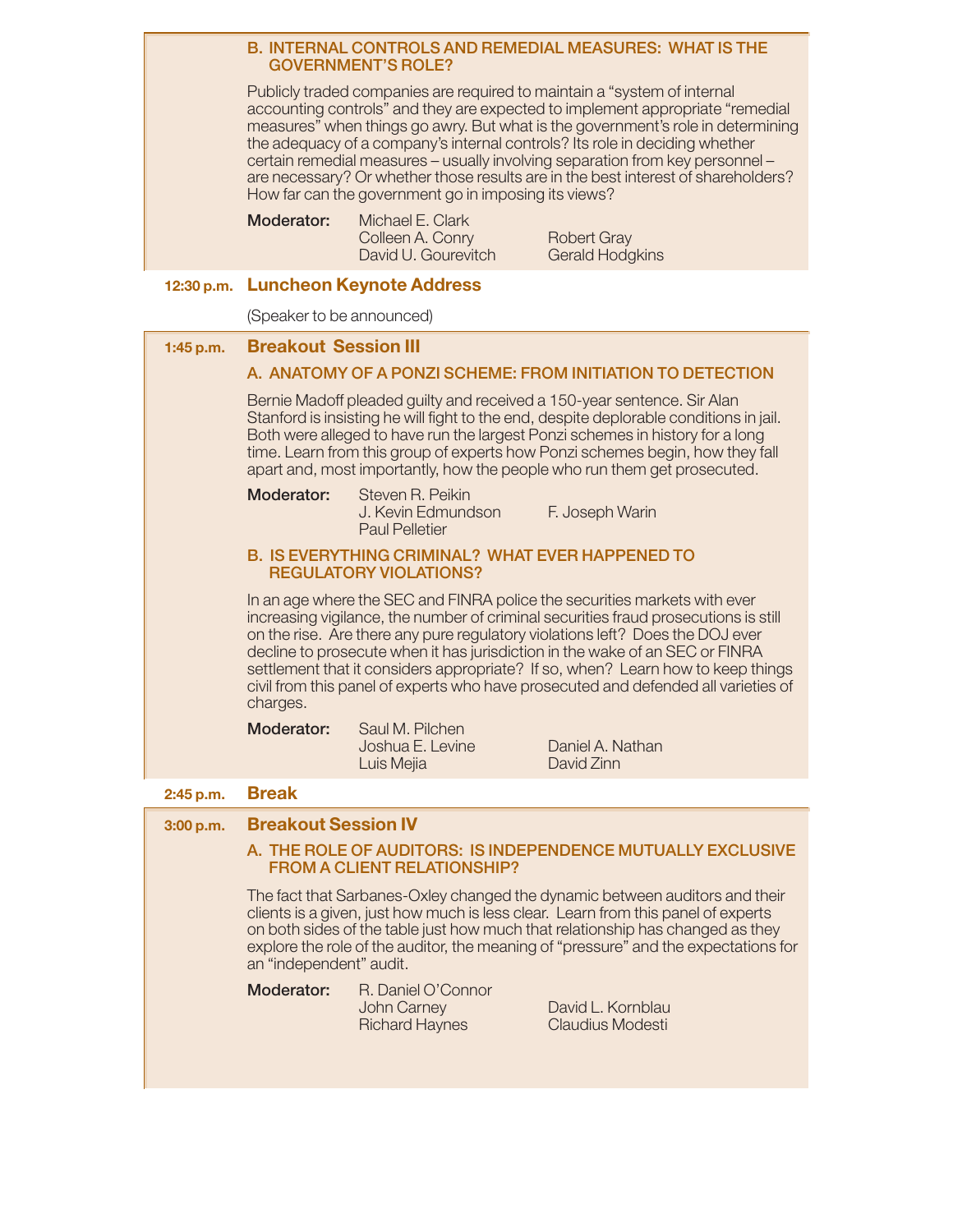#### **B. INTERNAL CONTROLS AND REMEDIAL MEASURES: WHAT IS THE GOVERNMENT'S ROLE?**

 Publicly traded companies are required to maintain a "system of internal accounting controls" and they are expected to implement appropriate "remedial measures" when things go awry. But what is the government's role in determining the adequacy of a company's internal controls? Its role in deciding whether certain remedial measures – usually involving separation from key personnel – are necessary? Or whether those results are in the best interest of shareholders? How far can the government go in imposing its views?

 **Moderator:** Michael E. Clark David U. Gourevitch

Colleen A. Conry Robert Gray<br>David U. Gourevitch Gerald Hodgkins

#### **12:30 p.m. Luncheon Keynote Address**

(Speaker to be announced)

| 1:45 p.m. | <b>Breakout Session III</b>                                                                                                                                                                                                                                                                                                                                                                                                                                                                                            |                                                                   |                                              |
|-----------|------------------------------------------------------------------------------------------------------------------------------------------------------------------------------------------------------------------------------------------------------------------------------------------------------------------------------------------------------------------------------------------------------------------------------------------------------------------------------------------------------------------------|-------------------------------------------------------------------|----------------------------------------------|
|           | A. ANATOMY OF A PONZI SCHEME: FROM INITIATION TO DETECTION                                                                                                                                                                                                                                                                                                                                                                                                                                                             |                                                                   |                                              |
|           | Bernie Madoff pleaded guilty and received a 150-year sentence. Sir Alan<br>Stanford is insisting he will fight to the end, despite deplorable conditions in jail.<br>Both were alleged to have run the largest Ponzi schemes in history for a long<br>time. Learn from this group of experts how Ponzi schemes begin, how they fall<br>apart and, most importantly, how the people who run them get prosecuted.                                                                                                        |                                                                   |                                              |
|           | Moderator:                                                                                                                                                                                                                                                                                                                                                                                                                                                                                                             | Steven R. Peikin<br>J. Kevin Edmundson<br><b>Paul Pelletier</b>   | F. Joseph Warin                              |
|           | <b>B. IS EVERYTHING CRIMINAL? WHAT EVER HAPPENED TO</b><br><b>REGULATORY VIOLATIONS?</b>                                                                                                                                                                                                                                                                                                                                                                                                                               |                                                                   |                                              |
|           | In an age where the SEC and FINRA police the securities markets with ever<br>increasing vigilance, the number of criminal securities fraud prosecutions is still<br>on the rise. Are there any pure regulatory violations left? Does the DOJ ever<br>decline to prosecute when it has jurisdiction in the wake of an SEC or FINRA<br>settlement that it considers appropriate? If so, when? Learn how to keep things<br>civil from this panel of experts who have prosecuted and defended all varieties of<br>charges. |                                                                   |                                              |
|           | Moderator:                                                                                                                                                                                                                                                                                                                                                                                                                                                                                                             | Saul M. Pilchen<br>Joshua E. Levine<br>Luis Mejia                 | Daniel A. Nathan<br>David Zinn               |
| 2:45 p.m. | <b>Break</b>                                                                                                                                                                                                                                                                                                                                                                                                                                                                                                           |                                                                   |                                              |
| 3:00 p.m. | <b>Breakout Session IV</b>                                                                                                                                                                                                                                                                                                                                                                                                                                                                                             |                                                                   |                                              |
|           | A. THE ROLE OF AUDITORS: IS INDEPENDENCE MUTUALLY EXCLUSIVE<br><b>FROM A CLIENT RELATIONSHIP?</b>                                                                                                                                                                                                                                                                                                                                                                                                                      |                                                                   |                                              |
|           | The fact that Sarbanes-Oxley changed the dynamic between auditors and their<br>clients is a given, just how much is less clear. Learn from this panel of experts<br>on both sides of the table just how much that relationship has changed as they<br>explore the role of the auditor, the meaning of "pressure" and the expectations for<br>an "independent" audit.                                                                                                                                                   |                                                                   |                                              |
|           | Moderator:                                                                                                                                                                                                                                                                                                                                                                                                                                                                                                             | R. Daniel O'Connor<br><b>John Carney</b><br><b>Richard Haynes</b> | David L. Kornblau<br><b>Claudius Modesti</b> |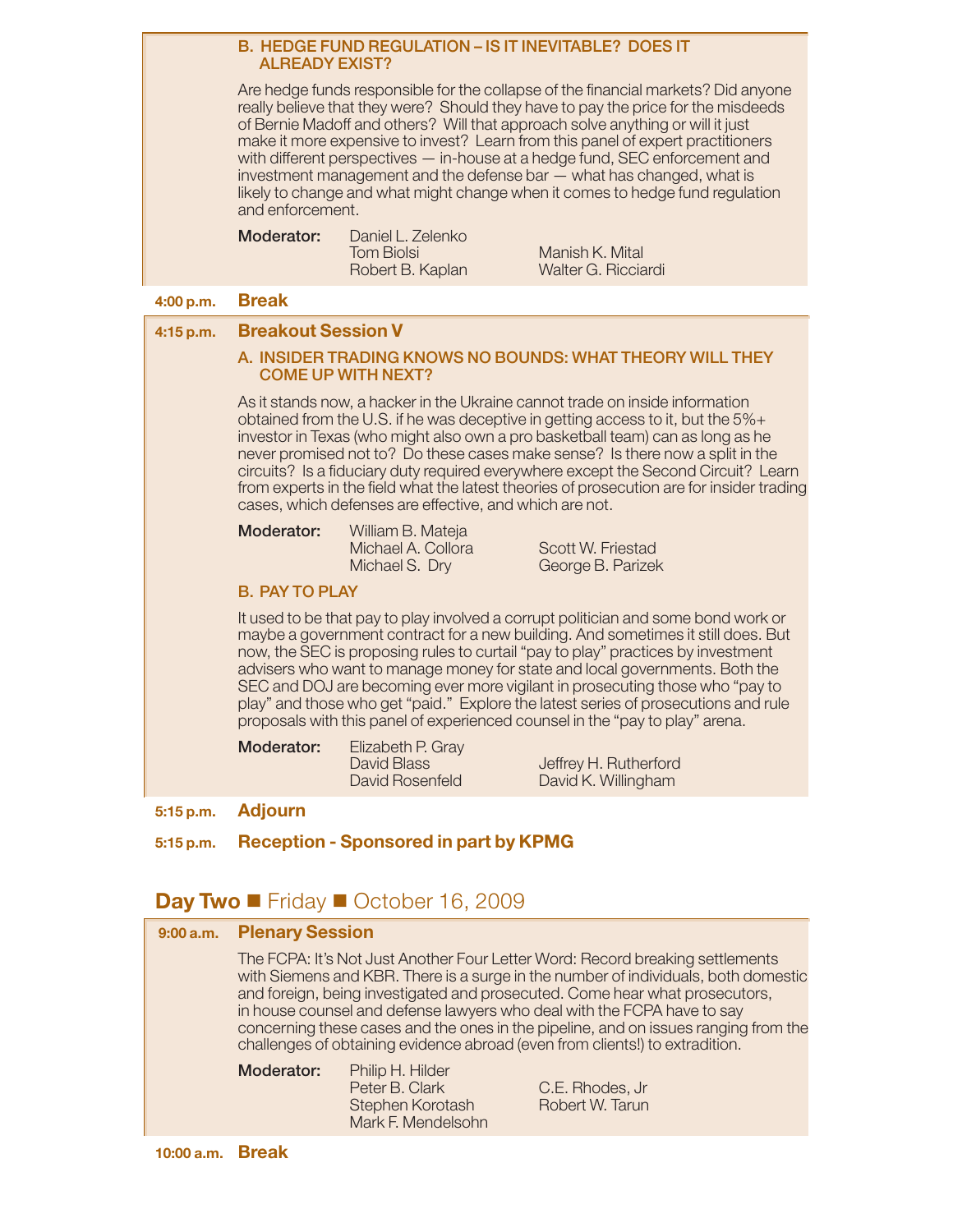#### **B. HEDGE FUND REGULATION – IS IT INEVITABLE? DOES IT ALREADY EXIST?**

 Are hedge funds responsible for the collapse of the financial markets? Did anyone really believe that they were? Should they have to pay the price for the misdeeds of Bernie Madoff and others? Will that approach solve anything or will it just make it more expensive to invest? Learn from this panel of expert practitioners with different perspectives — in-house at a hedge fund, SEC enforcement and investment management and the defense bar — what has changed, what is likely to change and what might change when it comes to hedge fund regulation and enforcement.

| Moderator: | Daniel L. Zelenko |  |
|------------|-------------------|--|
|            | <b>Tom Biolsi</b> |  |
|            | Robert B. Kaplan  |  |

Aanish K. Mital Valter G. Ricciardi

#### **4:00 p.m. Break**

**4:15 p.m. Breakout Session V**

#### **A. INSIDER TRADING KNOWS NO BOUNDS: WHAT THEORY WILL THEY COME UP WITH NEXT?**

 As it stands now, a hacker in the Ukraine cannot trade on inside information obtained from the U.S. if he was deceptive in getting access to it, but the 5%+ investor in Texas (who might also own a pro basketball team) can as long as he never promised not to? Do these cases make sense? Is there now a split in the circuits? Is a fiduciary duty required everywhere except the Second Circuit? Learn from experts in the field what the latest theories of prosecution are for insider trading cases, which defenses are effective, and which are not.

| Moderator: | William B. Mateja  |  |  |
|------------|--------------------|--|--|
|            | Michael A. Collora |  |  |
|            | $MichodC$ $Dni$    |  |  |

Scott W. Friestad Michael S. Dry George B. Parizek

#### **B. PAY TO PLAY**

 It used to be that pay to play involved a corrupt politician and some bond work or maybe a government contract for a new building. And sometimes it still does. But now, the SEC is proposing rules to curtail "pay to play" practices by investment advisers who want to manage money for state and local governments. Both the SEC and DOJ are becoming ever more vigilant in prosecuting those who "pay to play" and those who get "paid." Explore the latest series of prosecutions and rule proposals with this panel of experienced counsel in the "pay to play" arena.

| Moderator: | Elizabeth P. Gray              |                                              |
|------------|--------------------------------|----------------------------------------------|
|            | David Blass<br>David Rosenfeld | Jeffrey H. Rutherford<br>David K. Willingham |

**5:15 p.m. Adjourn**

#### **5:15 p.m. Reception - Sponsored in part by KPMG**

#### Day Two **F**riday October 16, 2009

| 9:00 a.m. Plenary Session                                                                                                                                                                                                                                                                                                                                                                                                                                                                            |                                                                              |                                    |  |
|------------------------------------------------------------------------------------------------------------------------------------------------------------------------------------------------------------------------------------------------------------------------------------------------------------------------------------------------------------------------------------------------------------------------------------------------------------------------------------------------------|------------------------------------------------------------------------------|------------------------------------|--|
| The FCPA: It's Not Just Another Four Letter Word: Record breaking settlements<br>with Siemens and KBR. There is a surge in the number of individuals, both domestic<br>and foreign, being investigated and prosecuted. Come hear what prosecutors,<br>in house counsel and defense lawyers who deal with the FCPA have to say<br>concerning these cases and the ones in the pipeline, and on issues ranging from the<br>challenges of obtaining evidence abroad (even from clients!) to extradition. |                                                                              |                                    |  |
| Moderator:                                                                                                                                                                                                                                                                                                                                                                                                                                                                                           | Philip H. Hilder<br>Peter B. Clark<br>Stephen Korotash<br>Mark F. Mendelsohn | C.E. Rhodes, Jr<br>Robert W. Tarun |  |
|                                                                                                                                                                                                                                                                                                                                                                                                                                                                                                      |                                                                              |                                    |  |

**10:00 a.m. Break**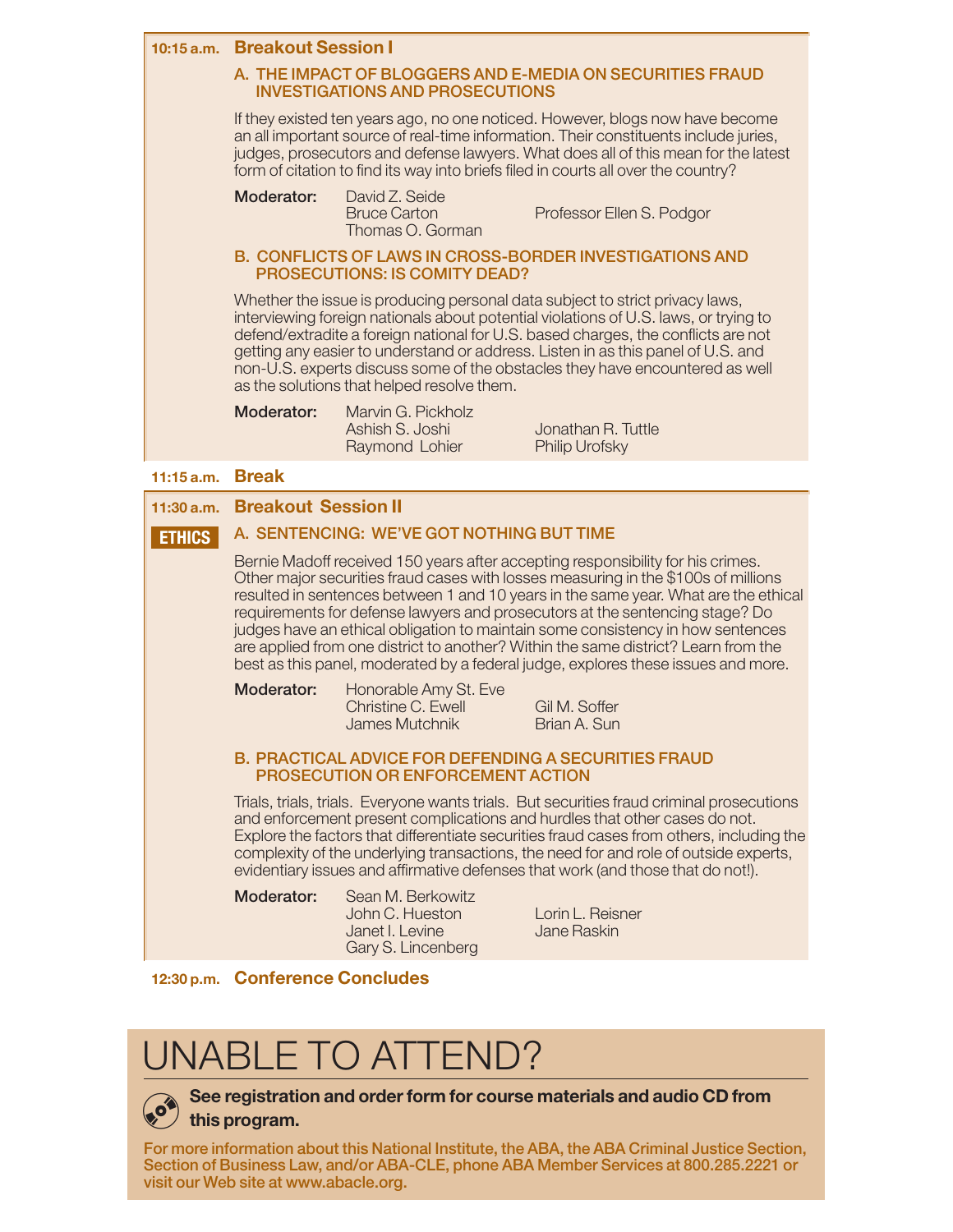

resulted in sentences between 1 and 10 years in the same year. What are the ethical requirements for defense lawyers and prosecutors at the sentencing stage? Do judges have an ethical obligation to maintain some consistency in how sentences are applied from one district to another? Within the same district? Learn from the best as this panel, moderated by a federal judge, explores these issues and more.

**Moderator:** Honorable Amy St. Eve

Christine C. Ewell Gil M. Soffer James Mutchnik Brian A. Sun

#### **B.PRACTICAL ADVICE FOR DEFENDING A SECURITIES FRAUD PROSECUTION OR ENFORCEMENT ACTION**

 Trials, trials, trials. Everyone wants trials. But securities fraud criminal prosecutions and enforcement present complications and hurdles that other cases do not. Explore the factors that differentiate securities fraud cases from others, including the complexity of the underlying transactions, the need for and role of outside experts, evidentiary issues and affirmative defenses that work (and those that do not!).

 **Moderator:** Sean M. Berkowitz Gary S. Lincenberg

John C. Hueston Lorin L. Reisner Janet I. Levine **Jane Raskin** 

#### **12:30 p.m. Conference Concludes**

## UNABLE TO ATTEND?



#### **See registration and order form for course materials and audio CD from**

**this program.**

**For more information about this National Institute, the ABA, the ABA Criminal Justice Section, Section of Business Law, and/or ABA-CLE, phone ABA Member Services at 800.285.2221 or visit our Web site at www.abacle.org.**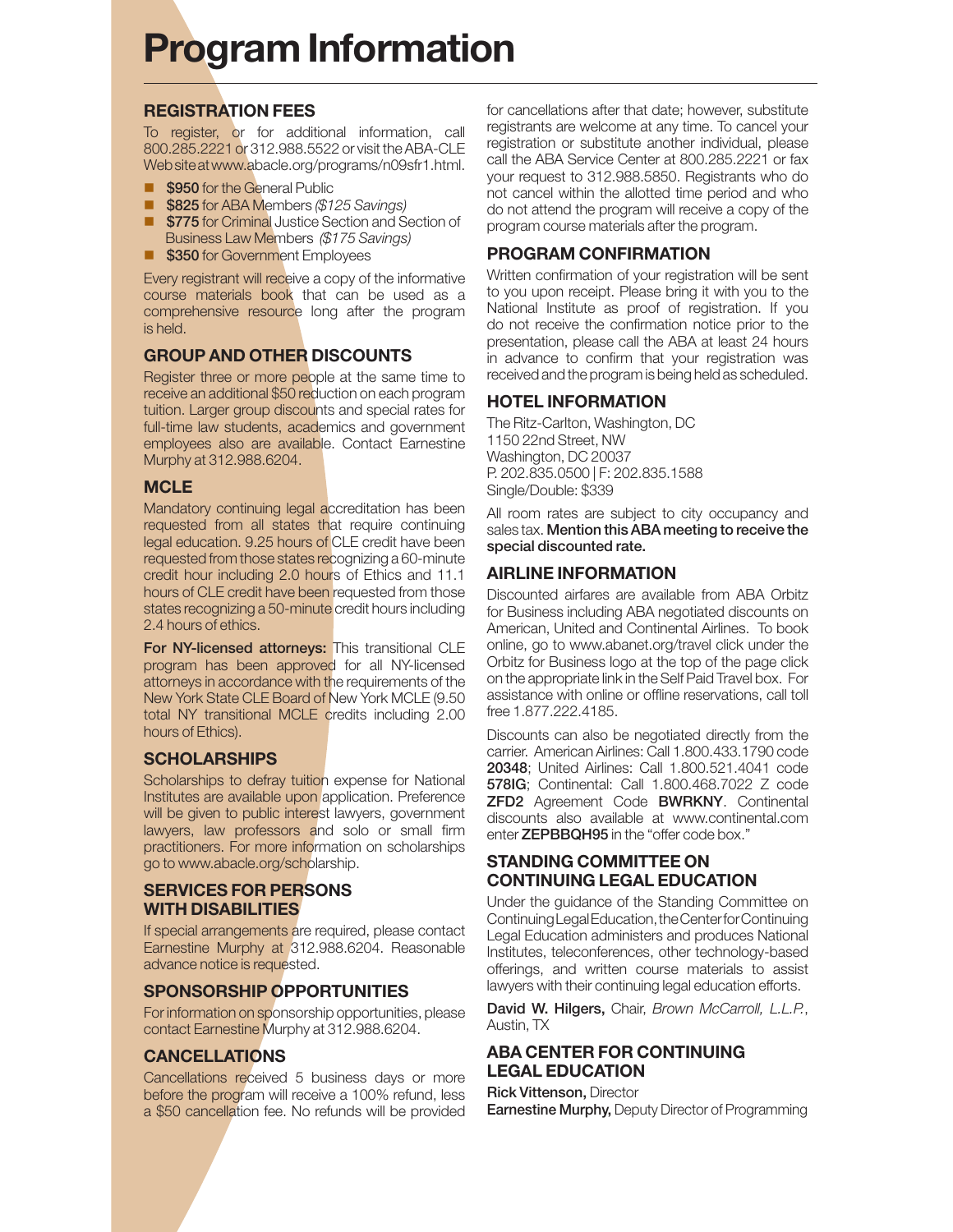## **Program Information**

#### **REGISTRATION FEES**

To register, or for additional information, call 800.285.2221 or 312.988.5522 or visit the ABA-CLE Web site at www.abacle.org/programs/n09sfr1.html.

- -**\$950** for the General Public
- -**\$825** for ABA Members *(\$125 Savings)*
- -**\$775** for Criminal Justice Section and Section of Business Law Members *(\$175 Savings)*
- **S350** for Government Employees

Every registrant will receive a copy of the informative course materials book that can be used as a comprehensive resource long after the program is held.

#### **GROUP AND OTHER DISCOUNTS**

Register three or more people at the same time to receive an additional \$50 reduction on each program tuition. Larger group discounts and special rates for full-time law students, academics and government employees also are available. Contact Earnestine Murphy at 312.988.6204.

#### **MCLE**

Mandatory continuing legal accreditation has been requested from all states that require continuing legal education. 9.25 hours of CLE credit have been requested from those states recognizing a 60-minute credit hour including 2.0 hours of Ethics and 11.1 hours of CLE credit have been requested from those states recognizing a 50-minute credit hours including 2.4 hours of ethics.

**For NY-licensed attorneys:** This transitional CLE program has been approved for all NY-licensed attorneys in accordance with the requirements of the New York State CLE Board of New York MCLE (9.50 total NY transitional MCLE credits including 2.00 hours of Ethics).

#### **SCHOLARSHIPS**

Scholarships to defray tuition expense for National Institutes are available upon application. Preference will be given to public interest lawyers, government lawyers, law professors and solo or small firm practitioners. For more information on scholarships go to www.abacle.org/scholarship.

#### **SERVICES FOR PERSONS WITH DISABILITIES**

If special arrangements are required, please contact Earnestine Murphy at 312.988.6204. Reasonable advance notice is requested.

#### **SPONSORSHIP OPPORTUNITIES**

For information on sponsorship opportunities, please contact Earnestine Murphy at 312.988.6204.

#### **CANCELLATIONS**

Cancellations received 5 business days or more before the program will receive a 100% refund, less a \$50 cancellation fee. No refunds will be provided for cancellations after that date; however, substitute registrants are welcome at any time. To cancel your registration or substitute another individual, please call the ABA Service Center at 800.285.2221 or fax your request to 312.988.5850. Registrants who do not cancel within the allotted time period and who do not attend the program will receive a copy of the program course materials after the program.

#### **PROGRAM CONFIRMATION**

Written confirmation of your registration will be sent to you upon receipt. Please bring it with you to the National Institute as proof of registration. If you do not receive the confirmation notice prior to the presentation, please call the ABA at least 24 hours in advance to confirm that your registration was received and the program is being held as scheduled.

#### **HOTEL INFORMATION**

The Ritz-Carlton, Washington, DC 1150 22nd Street, NW Washington, DC 20037 P. 202.835.0500 | F: 202.835.1588 Single/Double: \$339

All room rates are subject to city occupancy and sales tax. **Mention this ABA meeting to receive the special discounted rate.** 

#### **AIRLINE INFORMATION**

Discounted airfares are available from ABA Orbitz for Business including ABA negotiated discounts on American, United and Continental Airlines. To book online, go to www.abanet.org/travel click under the Orbitz for Business logo at the top of the page click on the appropriate link in the Self Paid Travel box. For assistance with online or offline reservations, call toll free 1.877.222.4185.

Discounts can also be negotiated directly from the carrier. American Airlines: Call 1.800.433.1790 code **20348**; United Airlines: Call 1.800.521.4041 code **578IG**; Continental: Call 1.800.468.7022 Z code **ZFD2** Agreement Code **BWRKNY**. Continental discounts also available at www.continental.com enter **ZEPBBQH95** in the "offer code box."

#### **STANDING COMMITTEE ON CONTINUING LEGAL EDUCATION**

Under the guidance of the Standing Committee on Continuing Legal Education, the Center for Continuing Legal Education administers and produces National Institutes, teleconferences, other technology-based offerings, and written course materials to assist lawyers with their continuing legal education efforts.

**David W. Hilgers,** Chair, *Brown McCarroll, L.L.P.*, Austin, TX

#### **ABA CENTER FOR CONTINUING LEGAL EDUCATION**

**Rick Vittenson,** Director **Earnestine Murphy,** Deputy Director of Programming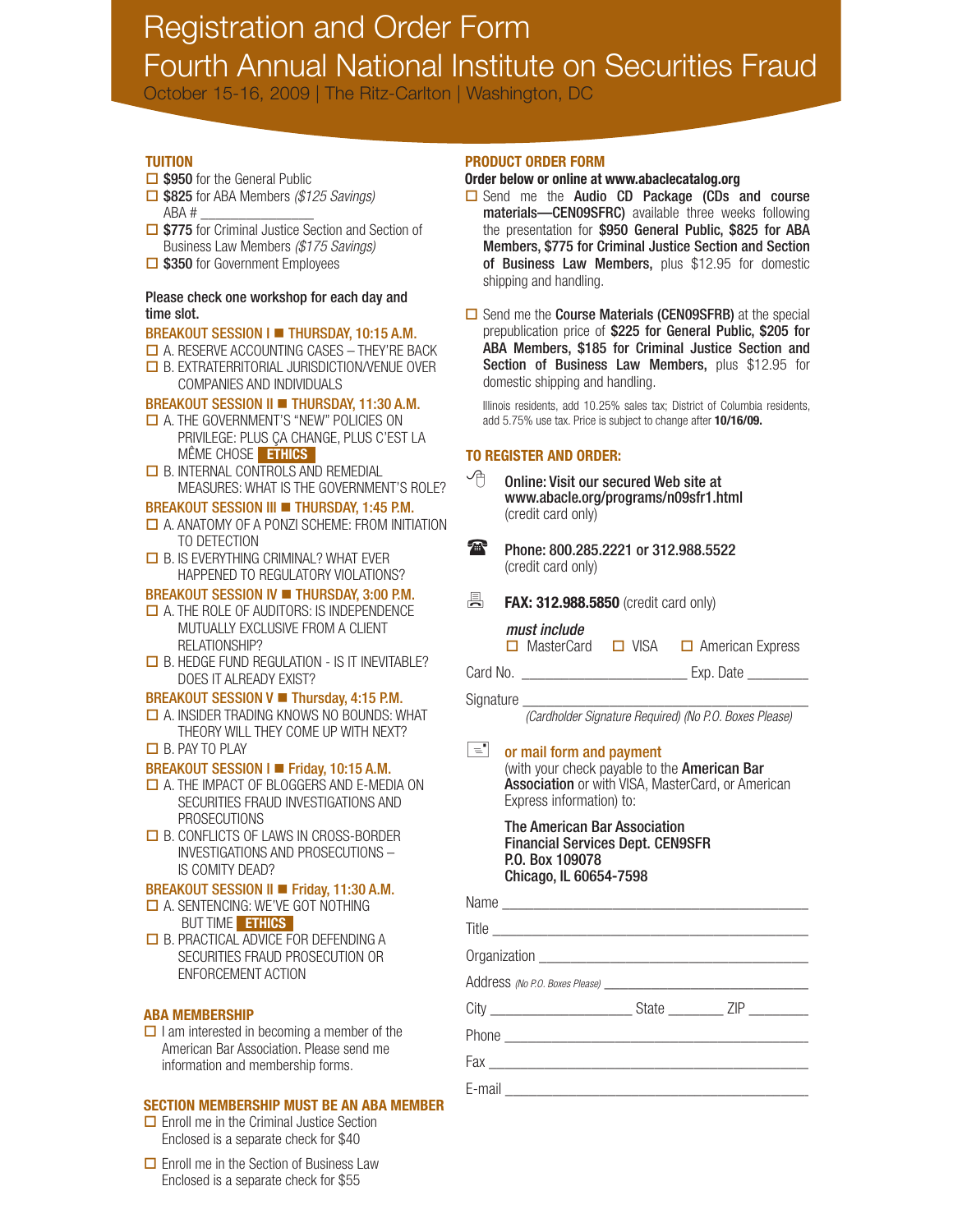## Registration and Order Form Fourth Annual National Institute on Securities Fraud

October 15-16, 2009 | The Ritz-Carlton | Washington, DC

#### **TUITION**

- □ \$950 for the General Public  $\Box$  \$825 for ABA Members (\$125 Savings) ABA # \_\_\_\_\_\_\_\_\_\_\_\_\_\_\_
- **□ \$775** for Criminal Justice Section and Section of Business Law Members (\$175 Savings)
- □ \$350 for Government Employees

#### Please check one workshop for each day and time slot.

#### BREAKOUT SESSION I **THURSDAY, 10:15 A.M.**

- $\Box$  A. RESERVE ACCOUNTING CASES THEY'RE BACK
- **D** B. EXTRATERRITORIAL JURISDICTION/VENUE OVER COMPANIES AND INDIVIDUALS

#### BREAKOUT SESSION II **THURSDAY, 11:30 A.M.**

- **□ A. THE GOVERNMENT'S "NEW" POLICIES ON**  PRIVILEGE: PLUS ÇA CHANGE, PLUS C'EST LA MÊME CHOSE **ETHICS**
- **□ B. INTERNAL CONTROLS AND REMEDIAL** MEASURES: WHAT IS THE GOVERNMENT'S ROLE?

#### BREAKOUT SESSION III **THURSDAY, 1:45 P.M.**

- $\Box$  A. ANATOMY OF A PONZI SCHEME: FROM INITIATION TO DETECTION
- $\Box$  B. IS EVERYTHING CRIMINAL? WHAT EVER HAPPENED TO REGULATORY VIOLATIONS?

#### BREAKOUT SESSION IV **THURSDAY, 3:00 P.M.**

- $\Box$  A. THE ROLE OF AUDITORS: IS INDEPENDENCE MUTUALLY EXCLUSIVE FROM A CLIENT RELATIONSHIP?
- $\Box$  B. HEDGE FUND REGULATION IS IT INEVITABLE? DOES IT ALREADY EXIST?

#### BREAKOUT SESSION V **Thursday, 4:15 P.M.**

- $\Box$  A. INSIDER TRADING KNOWS NO BOUNDS: WHAT THEORY WILL THEY COME UP WITH NEXT?
- $\Box$  B. PAY TO PLAY

#### BREAKOUT SESSION I Friday, 10:15 A.M.

- A. THE IMPACT OF BLOGGERS AND E-MEDIA ON SECURITIES FRAUD INVESTIGATIONS AND PROSECUTIONS
- **□** B. CONFLICTS OF LAWS IN CROSS-BORDER INVESTIGATIONS AND PROSECUTIONS – IS COMITY DEAD?

#### BREAKOUT SESSION II Friday, 11:30 A.M.

- A. SENTENCING: WE'VE GOT NOTHING BUT TIME **ETHICS**
- $\Box$  B. PRACTICAL ADVICE FOR DEFENDING A SECURITIES FRAUD PROSECUTION OR ENFORCEMENT ACTION

#### **ABA MEMBERSHIP**

 $\Box$  I am interested in becoming a member of the American Bar Association. Please send me information and membership forms.

#### **SECTION MEMBERSHIP MUST BE AN ABA MEMBER**

- $\Box$  Enroll me in the Criminal Justice Section Enclosed is a separate check for \$40
- **□** Enroll me in the Section of Business Law Enclosed is a separate check for \$55

#### **PRODUCT ORDER FORM**

#### **Order below or online at www.abaclecatalog.org**

- $\Box$  Send me the Audio CD Package (CDs and course materials—CEN09SFRC) available three weeks following the presentation for \$950 General Public, \$825 for ABA Members, \$775 for Criminal Justice Section and Section of Business Law Members, plus \$12.95 for domestic shipping and handling.
- $\Box$  Send me the **Course Materials (CEN09SFRB)** at the special prepublication price of \$225 for General Public, \$205 for ABA Members, \$185 for Criminal Justice Section and Section of Business Law Members, plus \$12.95 for domestic shipping and handling.

 Illinois residents, add 10.25% sales tax; District of Columbia residents, add 5.75% use tax. Price is subject to change after **10/16/09.**

#### **TO REGISTER AND ORDER:**

- Online: Visit our secured Web site at www.abacle.org/programs/n09sfr1.html (credit card only)
- Phone: 800.285.2221 or 312.988.5522 (credit card only)
- 具. **FAX: 312.988.5850** (credit card only)

#### must include

 $\Box$  MasterCard  $\Box$  VISA  $\Box$  American Express

Card No. \_\_\_\_\_\_\_\_\_\_\_\_\_\_\_\_\_\_\_\_\_ Exp. Date \_\_\_\_\_\_\_\_

Signature

(Cardholder Signature Required) (No P.O. Boxes Please)

#### $\vert$  =  $\vert$  or mail form and payment

(with your check payable to the American Bar Association or with VISA, MasterCard, or American Express information) to:

 The American Bar Association Financial Services Dept. CEN9SFR P.O. Box 109078 Chicago, IL 60654-7598